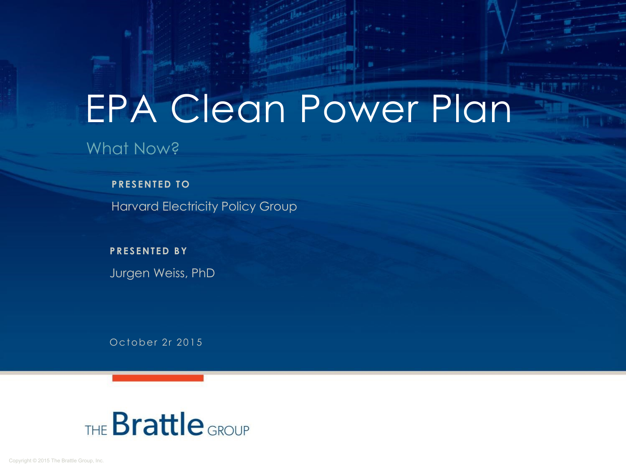# EPA Clean Power Plan

What Now?

**PRESENTED TO** 

Harvard Electricity Policy Group

Jurgen Weiss, PhD **P RE S ENTED BY**

October 2r 2015

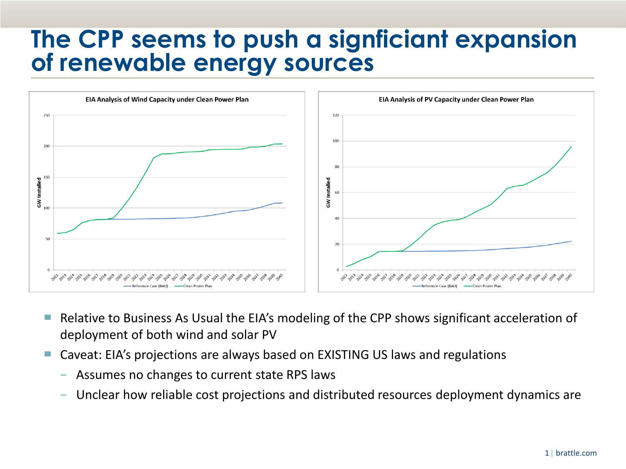#### **The CPP seems to push a signficiant expansion of renewable energy sources**



- Relative to Business As Usual the EIA's modeling of the CPP shows significant acceleration of deployment of both wind and solar PV
- Caveat: EIA's projections are always based on EXISTING US laws and regulations
	- − Assumes no changes to current state RPS laws
	- Unclear how reliable cost projections and distributed resources deployment dynamics are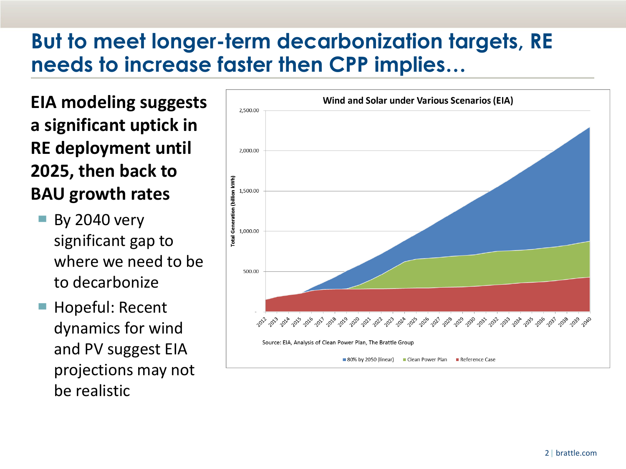#### **But to meet longer-term decarbonization targets, RE needs to increase faster then CPP implies…**

**EIA modeling suggests a significant uptick in RE deployment until 2025, then back to BAU growth rates**

- **By 2040 very** significant gap to where we need to be to decarbonize
- Hopeful: Recent dynamics for wind and PV suggest EIA projections may not be realistic

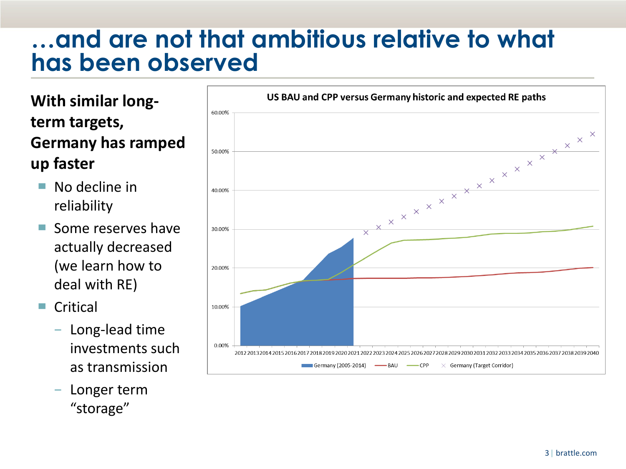#### **…and are not that ambitious relative to what has been observed**

**With similar longterm targets, Germany has ramped up faster**

- $\blacksquare$  No decline in reliability
- ▀ Some reserves have actually decreased (we learn how to deal with RE)
- Critical
	- − Long-lead time investments such as transmission
	- − Longer term "storage"

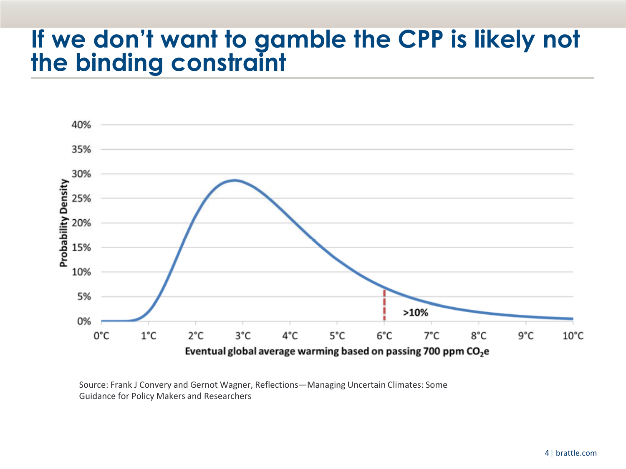### **If we don't want to gamble the CPP is likely not the binding constraint**



Source: Frank J Convery and Gernot Wagner, Reflections—Managing Uncertain Climates: Some Guidance for Policy Makers and Researchers